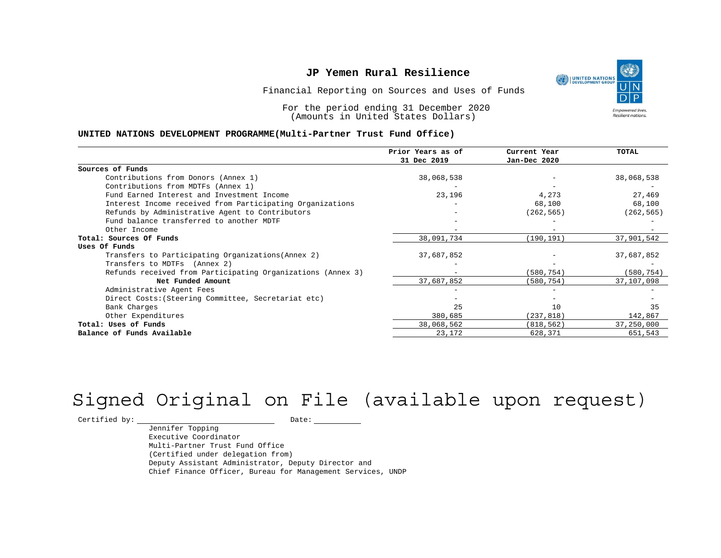UNITED NATIONS **Empowered lives** Resilient nations.

Financial Reporting on Sources and Uses of Funds

For the period ending 31 December 2020 (Amounts in United States Dollars)

#### **UNITED NATIONS DEVELOPMENT PROGRAMME(Multi-Partner Trust Fund Office)**

|                                                             | Prior Years as of | Current Year | <b>TOTAL</b> |
|-------------------------------------------------------------|-------------------|--------------|--------------|
|                                                             | 31 Dec 2019       | Jan-Dec 2020 |              |
| Sources of Funds                                            |                   |              |              |
| Contributions from Donors (Annex 1)                         | 38,068,538        |              | 38,068,538   |
| Contributions from MDTFs (Annex 1)                          |                   |              |              |
| Fund Earned Interest and Investment Income                  | 23,196            | 4,273        | 27,469       |
| Interest Income received from Participating Organizations   |                   | 68,100       | 68,100       |
| Refunds by Administrative Agent to Contributors             |                   | (262, 565)   | (262, 565)   |
| Fund balance transferred to another MDTF                    |                   |              |              |
| Other Income                                                |                   |              |              |
| Total: Sources Of Funds                                     | 38,091,734        | (190, 191)   | 37,901,542   |
| Uses Of Funds                                               |                   |              |              |
| Transfers to Participating Organizations (Annex 2)          | 37,687,852        |              | 37,687,852   |
| Transfers to MDTFs (Annex 2)                                |                   |              |              |
| Refunds received from Participating Organizations (Annex 3) |                   | (580,754)    | (580, 754)   |
| Net Funded Amount                                           | 37,687,852        | (580, 754)   | 37,107,098   |
| Administrative Agent Fees                                   |                   |              |              |
| Direct Costs: (Steering Committee, Secretariat etc)         |                   |              |              |
| Bank Charges                                                | 25                | 10           | 35           |
| Other Expenditures                                          | 380,685           | (237, 818)   | 142,867      |
| Total: Uses of Funds                                        | 38,068,562        | (818, 562)   | 37,250,000   |
| Balance of Funds Available                                  | 23,172            | 628,371      | 651,543      |

# Signed Original on File (available upon request)

 $\begin{tabular}{c} \multicolumn{2}{c}{{\texttt{Certified by:}}}} \quad \quad \texttt{Date:} \end{tabular}$ 

Jennifer Topping Executive Coordinator Multi-Partner Trust Fund Office (Certified under delegation from) Deputy Assistant Administrator, Deputy Director and Chief Finance Officer, Bureau for Management Services, UNDP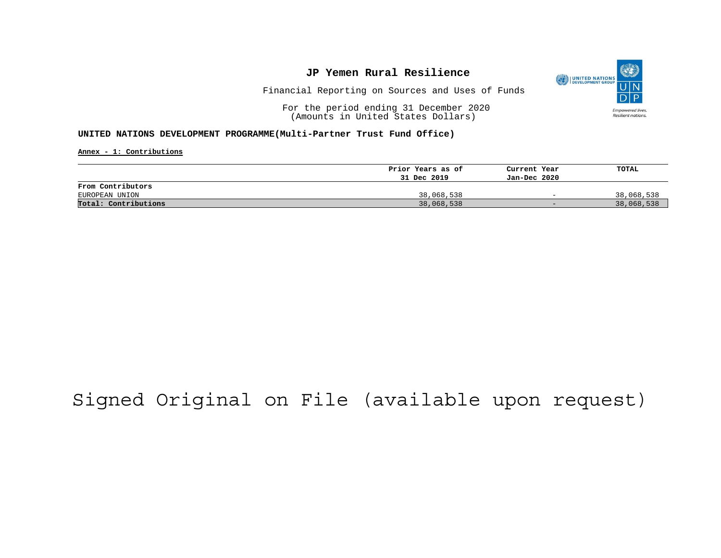

Financial Reporting on Sources and Uses of Funds

For the period ending 31 December 2020 (Amounts in United States Dollars)

### **UNITED NATIONS DEVELOPMENT PROGRAMME(Multi-Partner Trust Fund Office)**

**Annex - 1: Contributions**

|                      | Prior Years as of | Current Year             | TOTAL      |
|----------------------|-------------------|--------------------------|------------|
|                      | 31 Dec 2019       | Jan-Dec 2020             |            |
| From Contributors    |                   |                          |            |
| EUROPEAN UNION       | 38,068,538        | $\overline{\phantom{0}}$ | 38,068,538 |
| Total: Contributions | 38,068,538        | $-$                      | 38,068,538 |

# Signed Original on File (available upon request)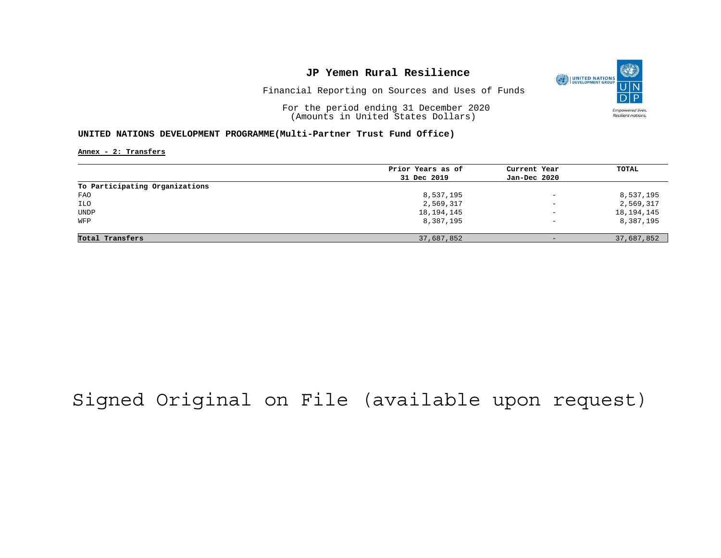

Financial Reporting on Sources and Uses of Funds

For the period ending 31 December 2020 (Amounts in United States Dollars)

### **UNITED NATIONS DEVELOPMENT PROGRAMME(Multi-Partner Trust Fund Office)**

**Annex - 2: Transfers**

|                                | Prior Years as of | Current Year             | TOTAL        |
|--------------------------------|-------------------|--------------------------|--------------|
|                                | 31 Dec 2019       | Jan-Dec 2020             |              |
| To Participating Organizations |                   |                          |              |
| FAO                            | 8,537,195         | $\overline{\phantom{0}}$ | 8,537,195    |
| ILO                            | 2,569,317         | $\overline{\phantom{0}}$ | 2,569,317    |
| <b>UNDP</b>                    | 18, 194, 145      | $\overline{\phantom{a}}$ | 18, 194, 145 |
| WFP                            | 8,387,195         | $\qquad \qquad -$        | 8,387,195    |
|                                |                   |                          |              |
| Total Transfers                | 37,687,852        | $-$                      | 37,687,852   |

# Signed Original on File (available upon request)